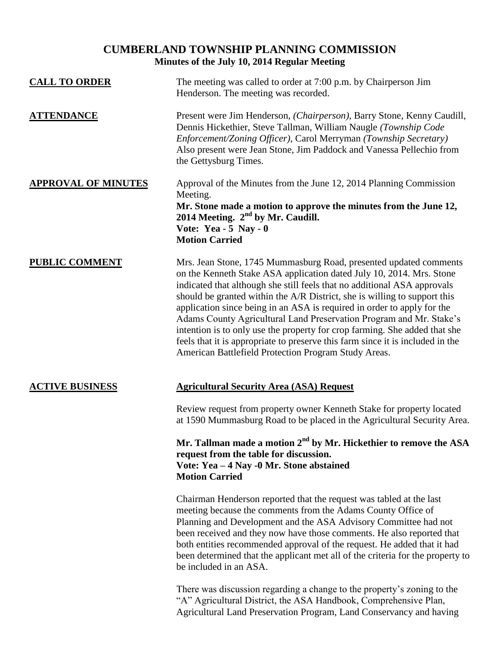## **CUMBERLAND TOWNSHIP PLANNING COMMISSION Minutes of the July 10, 2014 Regular Meeting**

| <b>CALL TO ORDER</b>       | The meeting was called to order at 7:00 p.m. by Chairperson Jim<br>Henderson. The meeting was recorded.                                                                                                                                                                                                                                                                                                                                                                                                                                                                                                                                                                      |
|----------------------------|------------------------------------------------------------------------------------------------------------------------------------------------------------------------------------------------------------------------------------------------------------------------------------------------------------------------------------------------------------------------------------------------------------------------------------------------------------------------------------------------------------------------------------------------------------------------------------------------------------------------------------------------------------------------------|
| <b>ATTENDANCE</b>          | Present were Jim Henderson, (Chairperson), Barry Stone, Kenny Caudill,<br>Dennis Hickethier, Steve Tallman, William Naugle (Township Code<br>Enforcement/Zoning Officer), Carol Merryman (Township Secretary)<br>Also present were Jean Stone, Jim Paddock and Vanessa Pellechio from<br>the Gettysburg Times.                                                                                                                                                                                                                                                                                                                                                               |
| <b>APPROVAL OF MINUTES</b> | Approval of the Minutes from the June 12, 2014 Planning Commission<br>Meeting.<br>Mr. Stone made a motion to approve the minutes from the June 12,<br>2014 Meeting. $2nd$ by Mr. Caudill.<br>Vote: Yea - $5$ Nay - 0<br><b>Motion Carried</b>                                                                                                                                                                                                                                                                                                                                                                                                                                |
| <b>PUBLIC COMMENT</b>      | Mrs. Jean Stone, 1745 Mummasburg Road, presented updated comments<br>on the Kenneth Stake ASA application dated July 10, 2014. Mrs. Stone<br>indicated that although she still feels that no additional ASA approvals<br>should be granted within the A/R District, she is willing to support this<br>application since being in an ASA is required in order to apply for the<br>Adams County Agricultural Land Preservation Program and Mr. Stake's<br>intention is to only use the property for crop farming. She added that she<br>feels that it is appropriate to preserve this farm since it is included in the<br>American Battlefield Protection Program Study Areas. |
| <b>ACTIVE BUSINESS</b>     | <b>Agricultural Security Area (ASA) Request</b>                                                                                                                                                                                                                                                                                                                                                                                                                                                                                                                                                                                                                              |
|                            | Review request from property owner Kenneth Stake for property located<br>at 1590 Mummasburg Road to be placed in the Agricultural Security Area.                                                                                                                                                                                                                                                                                                                                                                                                                                                                                                                             |
|                            | Mr. Tallman made a motion 2 <sup>nd</sup> by Mr. Hickethier to remove the ASA<br>request from the table for discussion.<br>Vote: Yea - 4 Nay -0 Mr. Stone abstained<br><b>Motion Carried</b>                                                                                                                                                                                                                                                                                                                                                                                                                                                                                 |
|                            | Chairman Henderson reported that the request was tabled at the last<br>meeting because the comments from the Adams County Office of<br>Planning and Development and the ASA Advisory Committee had not<br>been received and they now have those comments. He also reported that<br>both entities recommended approval of the request. He added that it had<br>been determined that the applicant met all of the criteria for the property to<br>be included in an ASA.                                                                                                                                                                                                       |
|                            | There was discussion regarding a change to the property's zoning to the<br>"A" Agricultural District, the ASA Handbook, Comprehensive Plan,<br>Agricultural Land Preservation Program, Land Conservancy and having                                                                                                                                                                                                                                                                                                                                                                                                                                                           |